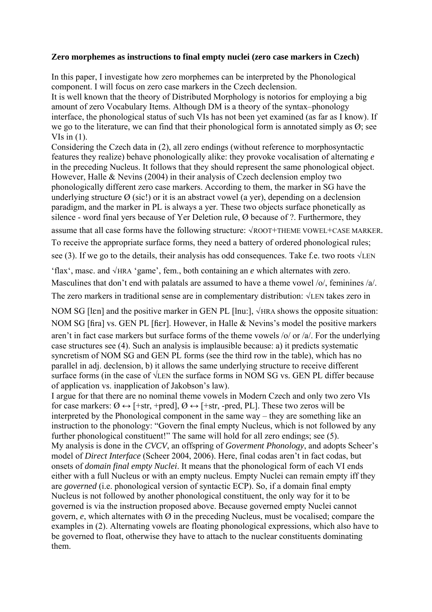#### **Zero morphemes as instructions to final empty nuclei (zero case markers in Czech)**

In this paper, I investigate how zero morphemes can be interpreted by the Phonological component. I will focus on zero case markers in the Czech declension. It is well known that the theory of Distributed Morphology is notorios for employing a big amount of zero Vocabulary Items. Although DM is a theory of the syntax–phonology interface, the phonological status of such VIs has not been yet examined (as far as I know). If we go to the literature, we can find that their phonological form is annotated simply as  $\emptyset$ ; see VIs in  $(1)$ .

Considering the Czech data in (2), all zero endings (without reference to morphosyntactic features they realize) behave phonologically alike: they provoke vocalisation of alternating *e* in the preceding Nucleus. It follows that they should represent the same phonological object. However, Halle & Nevins (2004) in their analysis of Czech declension employ two phonologically different zero case markers. According to them, the marker in SG have the underlying structure  $\varnothing$  (sic!) or it is an abstract vowel (a yer), depending on a declension paradigm, and the marker in PL is always a yer. These two objects surface phonetically as silence - word final yers because of Yer Deletion rule, Ø because of ?. Furthermore, they

assume that all case forms have the following structure: √ROOT+THEME VOWEL+CASE MARKER. To receive the appropriate surface forms, they need a battery of ordered phonological rules; see (3). If we go to the details, their analysis has odd consequences. Take f.e. two roots  $\sqrt{LEN}$ 

'flax', masc. and √HRA 'game', fem., both containing an *e* which alternates with zero. Masculines that don't end with palatals are assumed to have a theme vowel  $\frac{\delta}{\delta}$ , feminines  $\frac{\delta}{\delta}$ . The zero markers in traditional sense are in complementary distribution: √LEN takes zero in

NOM SG [lɛn] and the positive marker in GEN PL [lnu:],  $\sqrt{HRA}$  shows the opposite situation: NOM SG [fira] vs. GEN PL [fier]. However, in Halle  $\&$  Nevins's model the positive markers aren't in fact case markers but surface forms of the theme vowels /o/ or /a/. For the underlying case structures see (4). Such an analysis is implausible because: a) it predicts systematic syncretism of NOM SG and GEN PL forms (see the third row in the table), which has no parallel in adj. declension, b) it allows the same underlying structure to receive different surface forms (in the case of  $\sqrt{LEN}$  the surface forms in NOM SG vs. GEN PL differ because of application vs. inapplication of Jakobson's law).

I argue for that there are no nominal theme vowels in Modern Czech and only two zero VIs for case markers:  $\emptyset \leftrightarrow$  [+str, +pred],  $\emptyset \leftrightarrow$  [+str, -pred, PL]. These two zeros will be interpreted by the Phonological component in the same way – they are something like an instruction to the phonology: "Govern the final empty Nucleus, which is not followed by any further phonological constituent!" The same will hold for all zero endings; see (5). My analysis is done in the *CVCV*, an offspring of *Goverment Phonology*, and adopts Scheer's model of *Direct Interface* (Scheer 2004, 2006). Here, final codas aren't in fact codas, but onsets of *domain final empty Nuclei*. It means that the phonological form of each VI ends either with a full Nucleus or with an empty nucleus. Empty Nuclei can remain empty iff they are *governed* (i.e. phonological version of syntactic ECP). So, if a domain final empty Nucleus is not followed by another phonological constituent, the only way for it to be governed is via the instruction proposed above. Because governed empty Nuclei cannot govern,  $e$ , which alternates with  $\emptyset$  in the preceding Nucleus, must be vocalised; compare the examples in (2). Alternating vowels are floating phonological expressions, which also have to be governed to float, otherwise they have to attach to the nuclear constituents dominating them.